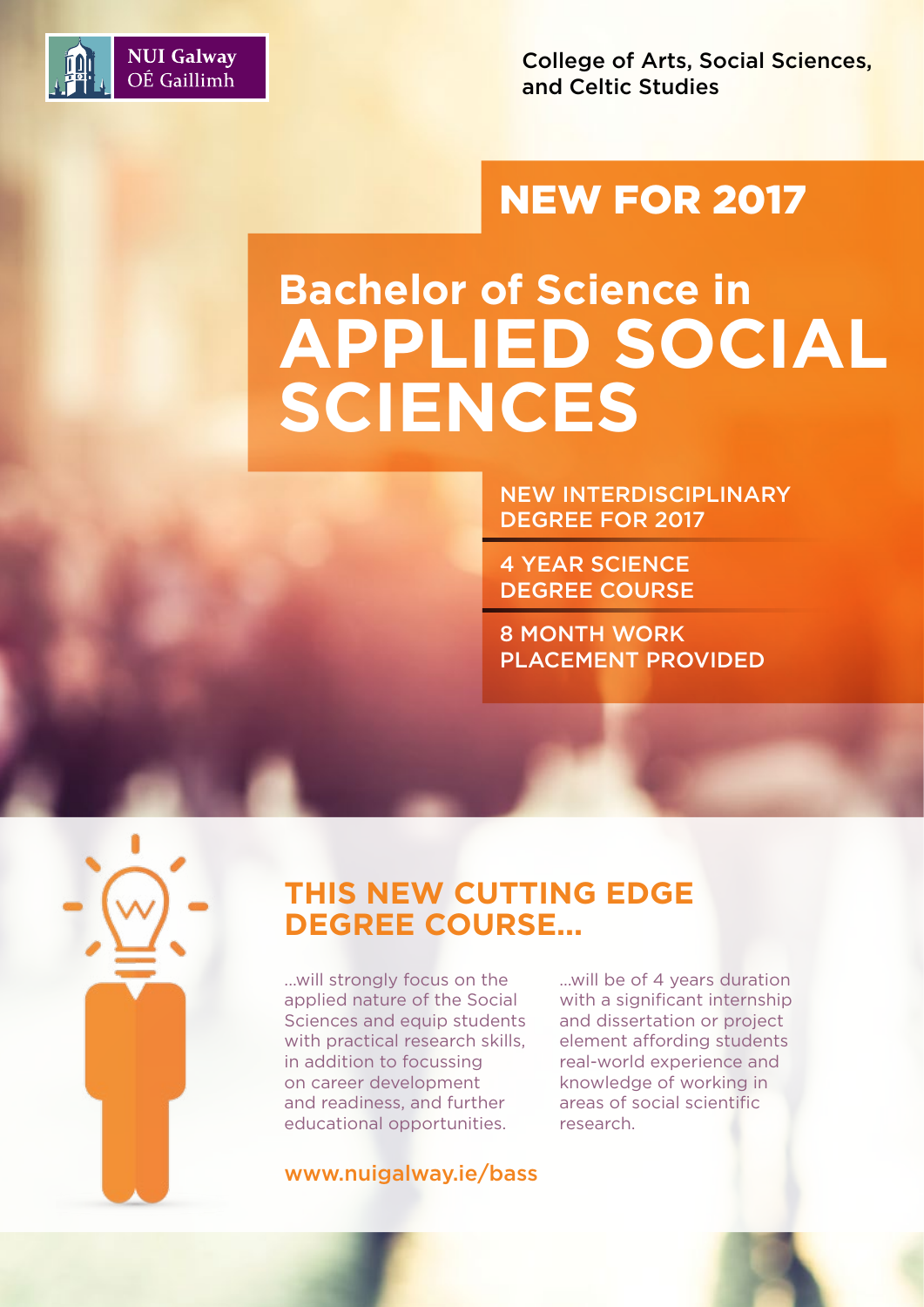

College of Arts, Social Sciences, and Celtic Studies

### NEW FOR 2017

# **Bachelor of Science in APPLIED SOCIAL SCIENCES**

NEW INTERDISCIPLINARY DEGREE FOR 2017

4 YEAR SCIENCE DEGREE COURSE

8 MONTH WORK PLACEMENT PROVIDED

### **THIS NEW CUTTING EDGE DEGREE COURSE...**

...will strongly focus on the applied nature of the Social Sciences and equip students with practical research skills, in addition to focussing on career development and readiness, and further educational opportunities.

www.nuigalway.ie/bass

...will be of 4 years duration with a significant internship and dissertation or project element affording students real-world experience and knowledge of working in areas of social scientific research.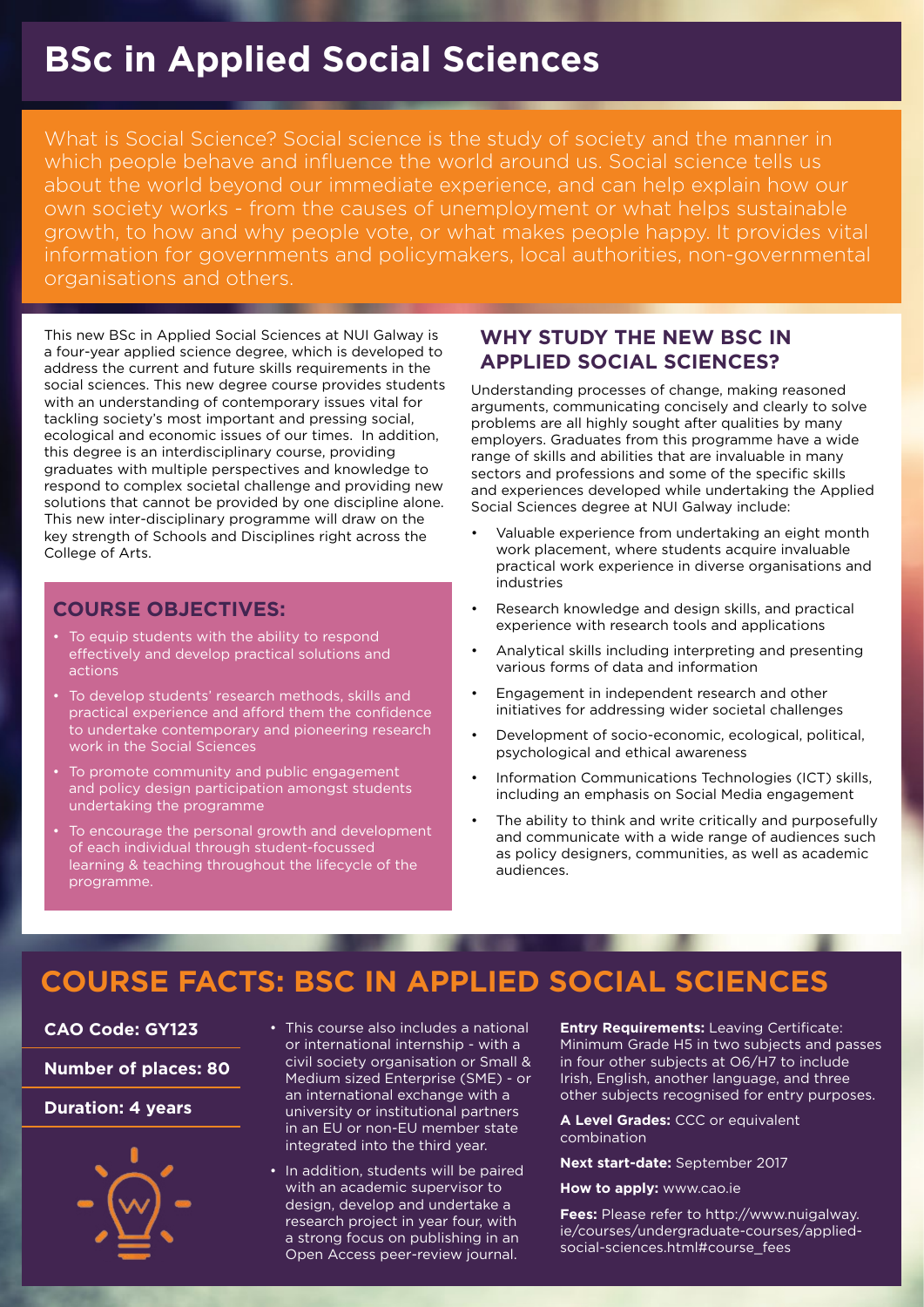### **BSc in Applied Social Sciences**

What is Social Science? Social science is the study of society and the manner in which people behave and influence the world around us. Social science tells us about the world beyond our immediate experience, and can help explain how our own society works - from the causes of unemployment or what helps sustainable growth, to how and why people vote, or what makes people happy. It provides vital information for governments and policymakers, local authorities, non-governmental organisations and others.

This new BSc in Applied Social Sciences at NUI Galway is a four-year applied science degree, which is developed to address the current and future skills requirements in the social sciences. This new degree course provides students with an understanding of contemporary issues vital for tackling society's most important and pressing social, ecological and economic issues of our times. In addition, this degree is an interdisciplinary course, providing graduates with multiple perspectives and knowledge to respond to complex societal challenge and providing new solutions that cannot be provided by one discipline alone. This new inter-disciplinary programme will draw on the key strength of Schools and Disciplines right across the College of Arts.

#### **COURSE OBJECTIVES:**

- To equip students with the ability to respond effectively and develop practical solutions and actions
- To develop students' research methods, skills and practical experience and afford them the confidence to undertake contemporary and pioneering research work in the Social Sciences
- To promote community and public engagement and policy design participation amongst students undertaking the programme
- To encourage the personal growth and development of each individual through student-focussed learning & teaching throughout the lifecycle of the programme.

#### **WHY STUDY THE NEW BSC IN APPLIED SOCIAL SCIENCES?**

Understanding processes of change, making reasoned arguments, communicating concisely and clearly to solve problems are all highly sought after qualities by many employers. Graduates from this programme have a wide range of skills and abilities that are invaluable in many sectors and professions and some of the specific skills and experiences developed while undertaking the Applied Social Sciences degree at NUI Galway include:

- Valuable experience from undertaking an eight month work placement, where students acquire invaluable practical work experience in diverse organisations and industries
- Research knowledge and design skills, and practical experience with research tools and applications
- Analytical skills including interpreting and presenting various forms of data and information
- Engagement in independent research and other initiatives for addressing wider societal challenges
- Development of socio-economic, ecological, political, psychological and ethical awareness
- Information Communications Technologies (ICT) skills, including an emphasis on Social Media engagement
- The ability to think and write critically and purposefully and communicate with a wide range of audiences such as policy designers, communities, as well as academic audiences.

### **COURSE FACTS: BSC IN APPLIED SOCIAL SCIENCES**

**CAO Code: GY123**

**Number of places: 80**

#### **Duration: 4 years**



- This course also includes a national or international internship - with a civil society organisation or Small & Medium sized Enterprise (SME) - or an international exchange with a university or institutional partners in an EU or non-EU member state integrated into the third year.
- In addition, students will be paired with an academic supervisor to design, develop and undertake a research project in year four, with a strong focus on publishing in an Open Access peer-review journal.

**Entry Requirements:** Leaving Certificate: Minimum Grade H5 in two subjects and passes in four other subjects at O6/H7 to include Irish, English, another language, and three other subjects recognised for entry purposes.

**A Level Grades:** CCC or equivalent combination

#### **Next start-date:** September 2017

**How to apply:** www.cao.ie

**Fees:** Please refer to http://www.nuigalway. ie/courses/undergraduate-courses/appliedsocial-sciences.html#course\_fees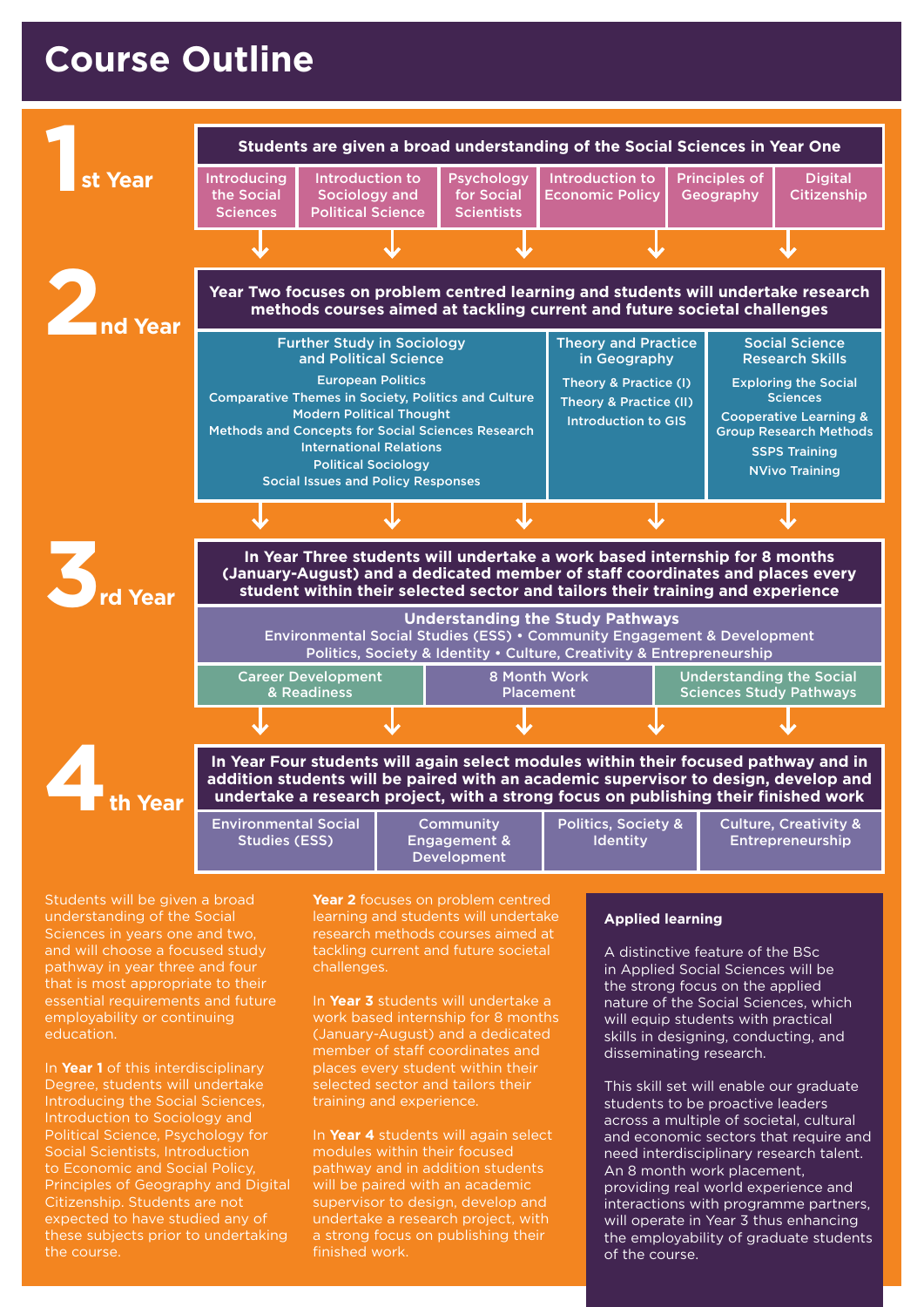### **Course Outline**



Students will be given a broad understanding of the Social Sciences in years one and two, and will choose a focused study pathway in year three and four that is most appropriate to their essential requirements and future employability or continuing education.

In **Year 1** of this interdisciplinary Degree, students will undertake Introducing the Social Sciences, Introduction to Sociology and Political Science, Psychology for Social Scientists, Introduction to Economic and Social Policy, Principles of Geography and Digital Citizenship. Students are not expected to have studied any of these subjects prior to undertaking the course.

learning and students will undertake research methods courses aimed at tackling current and future societal challenges.

In **Year 3** students will undertake a work based internship for 8 months (January-August) and a dedicated member of staff coordinates and places every student within their selected sector and tailors their training and experience.

In **Year 4** students will again select modules within their focused pathway and in addition students will be paired with an academic supervisor to design, develop and undertake a research project, with a strong focus on publishing their finished work.

#### **Applied learning**

A distinctive feature of the BSc in Applied Social Sciences will be the strong focus on the applied nature of the Social Sciences, which will equip students with practical skills in designing, conducting, and disseminating research.

This skill set will enable our graduate students to be proactive leaders across a multiple of societal, cultural and economic sectors that require and need interdisciplinary research talent. An 8 month work placement, providing real world experience and interactions with programme partners, will operate in Year 3 thus enhancing the employability of graduate students of the course.